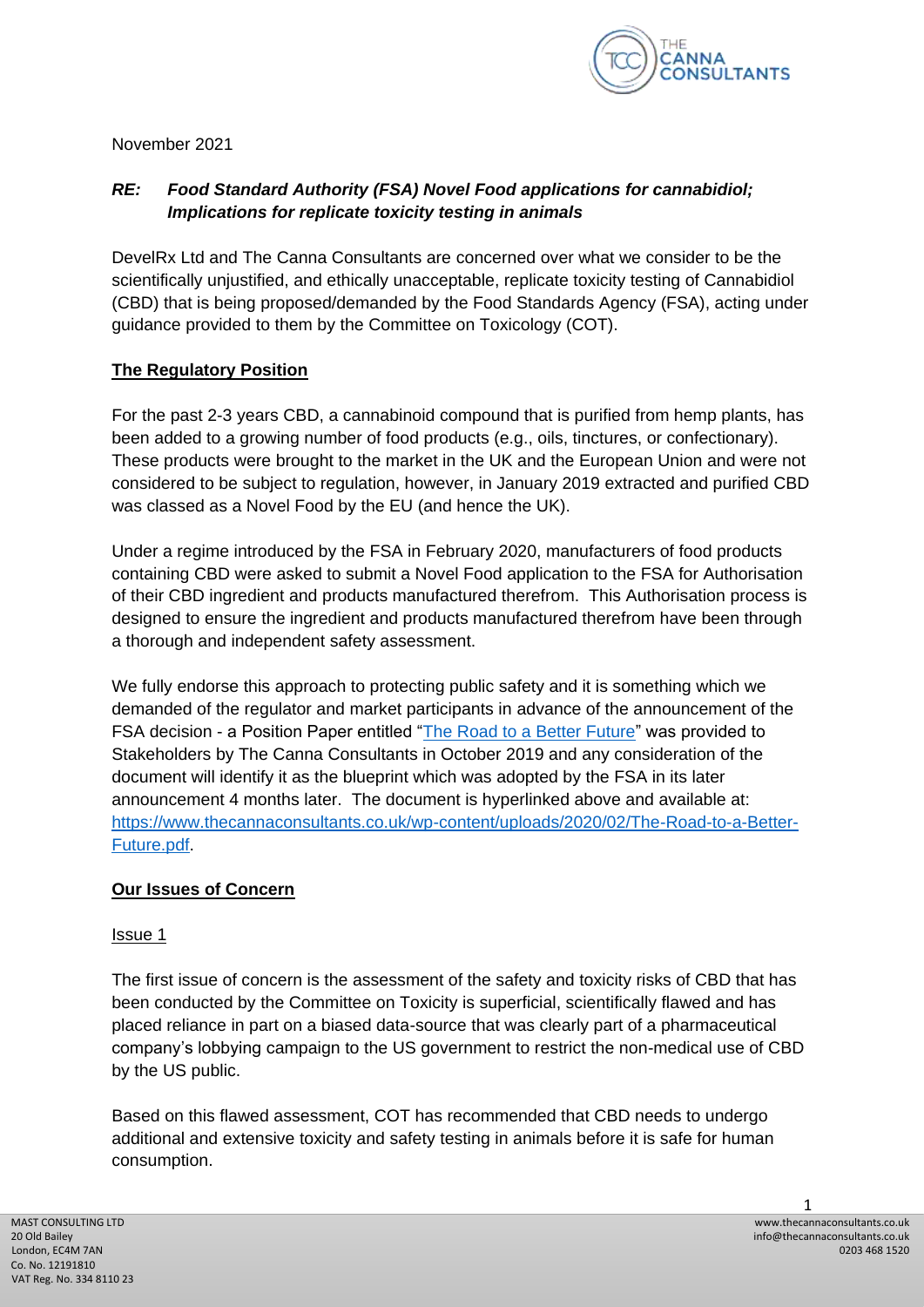

November 2021

# *RE: Food Standard Authority (FSA) Novel Food applications for cannabidiol; Implications for replicate toxicity testing in animals*

DevelRx Ltd and The Canna Consultants are concerned over what we consider to be the scientifically unjustified, and ethically unacceptable, replicate toxicity testing of Cannabidiol (CBD) that is being proposed/demanded by the Food Standards Agency (FSA), acting under guidance provided to them by the Committee on Toxicology (COT).

## **The Regulatory Position**

For the past 2-3 years CBD, a cannabinoid compound that is purified from hemp plants, has been added to a growing number of food products (e.g., oils, tinctures, or confectionary). These products were brought to the market in the UK and the European Union and were not considered to be subject to regulation, however, in January 2019 extracted and purified CBD was classed as a Novel Food by the EU (and hence the UK).

Under a regime introduced by the FSA in February 2020, manufacturers of food products containing CBD were asked to submit a Novel Food application to the FSA for Authorisation of their CBD ingredient and products manufactured therefrom. This Authorisation process is designed to ensure the ingredient and products manufactured therefrom have been through a thorough and independent safety assessment.

We fully endorse this approach to protecting public safety and it is something which we demanded of the regulator and market participants in advance of the announcement of the FSA decision - a Position Paper entitled ["The Road to a Better Future"](https://www.thecannaconsultants.co.uk/wp-content/uploads/2020/02/The-Road-to-a-Better-Future.pdf) was provided to Stakeholders by The Canna Consultants in October 2019 and any consideration of the document will identify it as the blueprint which was adopted by the FSA in its later announcement 4 months later. The document is hyperlinked above and available at: [https://www.thecannaconsultants.co.uk/wp-content/uploads/2020/02/The-Road-to-a-Better-](https://www.thecannaconsultants.co.uk/wp-content/uploads/2020/02/The-Road-to-a-Better-Future.pdf)[Future.pdf.](https://www.thecannaconsultants.co.uk/wp-content/uploads/2020/02/The-Road-to-a-Better-Future.pdf)

### **Our Issues of Concern**

### Issue 1

The first issue of concern is the assessment of the safety and toxicity risks of CBD that has been conducted by the Committee on Toxicity is superficial, scientifically flawed and has placed reliance in part on a biased data-source that was clearly part of a pharmaceutical company's lobbying campaign to the US government to restrict the non-medical use of CBD by the US public.

Based on this flawed assessment, COT has recommended that CBD needs to undergo additional and extensive toxicity and safety testing in animals before it is safe for human consumption.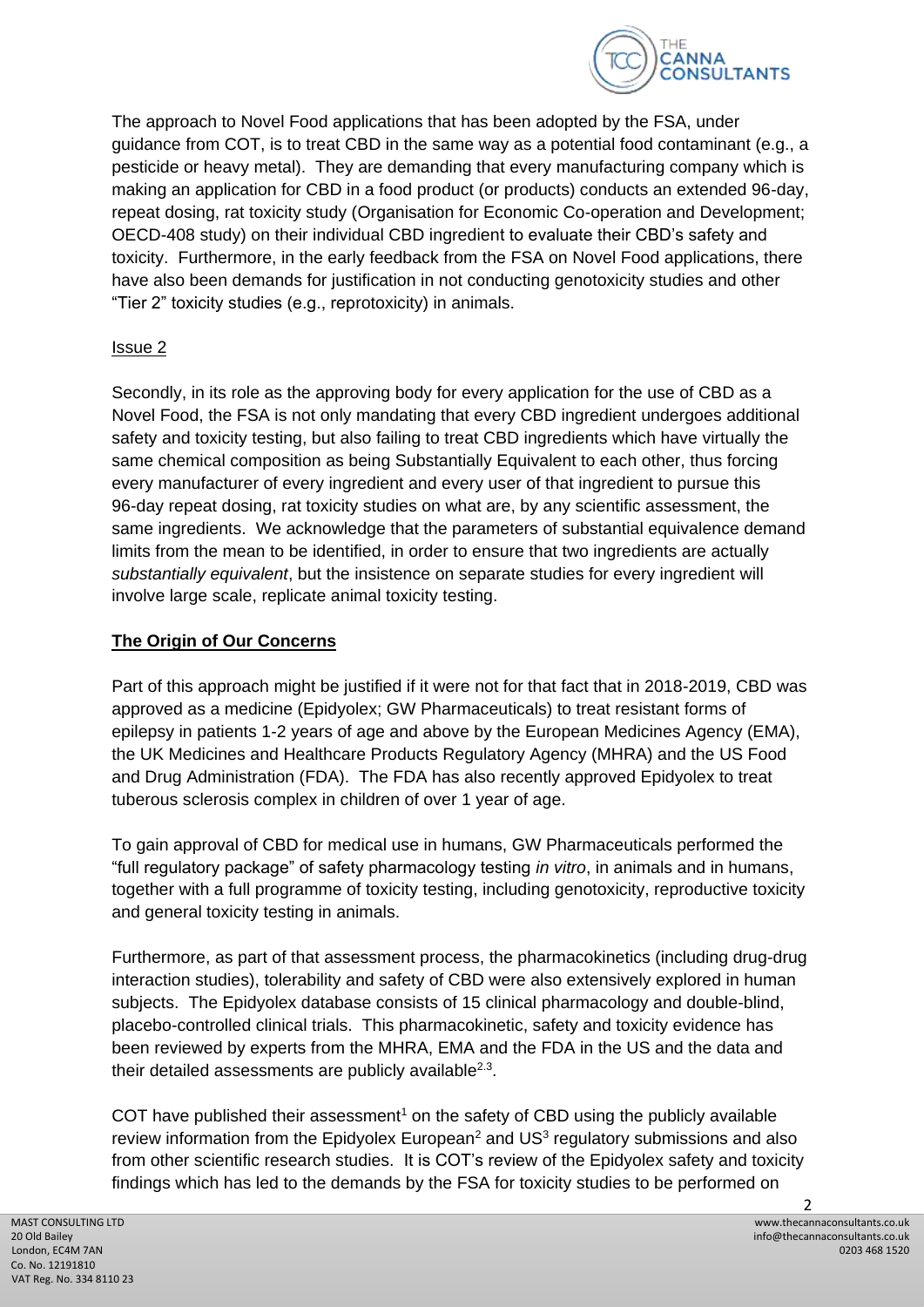

The approach to Novel Food applications that has been adopted by the FSA, under guidance from COT, is to treat CBD in the same way as a potential food contaminant (e.g., a pesticide or heavy metal). They are demanding that every manufacturing company which is making an application for CBD in a food product (or products) conducts an extended 96-day, repeat dosing, rat toxicity study (Organisation for Economic Co-operation and Development; OECD-408 study) on their individual CBD ingredient to evaluate their CBD's safety and toxicity. Furthermore, in the early feedback from the FSA on Novel Food applications, there have also been demands for justification in not conducting genotoxicity studies and other "Tier 2" toxicity studies (e.g., reprotoxicity) in animals.

#### Issue 2

Secondly, in its role as the approving body for every application for the use of CBD as a Novel Food, the FSA is not only mandating that every CBD ingredient undergoes additional safety and toxicity testing, but also failing to treat CBD ingredients which have virtually the same chemical composition as being Substantially Equivalent to each other, thus forcing every manufacturer of every ingredient and every user of that ingredient to pursue this 96-day repeat dosing, rat toxicity studies on what are, by any scientific assessment, the same ingredients. We acknowledge that the parameters of substantial equivalence demand limits from the mean to be identified, in order to ensure that two ingredients are actually *substantially equivalent*, but the insistence on separate studies for every ingredient will involve large scale, replicate animal toxicity testing.

#### **The Origin of Our Concerns**

Part of this approach might be justified if it were not for that fact that in 2018-2019, CBD was approved as a medicine (Epidyolex; GW Pharmaceuticals) to treat resistant forms of epilepsy in patients 1-2 years of age and above by the European Medicines Agency (EMA), the UK Medicines and Healthcare Products Regulatory Agency (MHRA) and the US Food and Drug Administration (FDA). The FDA has also recently approved Epidyolex to treat tuberous sclerosis complex in children of over 1 year of age.

To gain approval of CBD for medical use in humans, GW Pharmaceuticals performed the "full regulatory package" of safety pharmacology testing *in vitro*, in animals and in humans, together with a full programme of toxicity testing, including genotoxicity, reproductive toxicity and general toxicity testing in animals.

Furthermore, as part of that assessment process, the pharmacokinetics (including drug-drug interaction studies), tolerability and safety of CBD were also extensively explored in human subjects. The Epidyolex database consists of 15 clinical pharmacology and double-blind, placebo-controlled clinical trials. This pharmacokinetic, safety and toxicity evidence has been reviewed by experts from the MHRA, EMA and the FDA in the US and the data and their detailed assessments are publicly available $2.3$ .

COT have published their assessment<sup>1</sup> on the safety of CBD using the publicly available review information from the Epidyolex European<sup>2</sup> and US $3$  regulatory submissions and also from other scientific research studies. It is COT's review of the Epidyolex safety and toxicity findings which has led to the demands by the FSA for toxicity studies to be performed on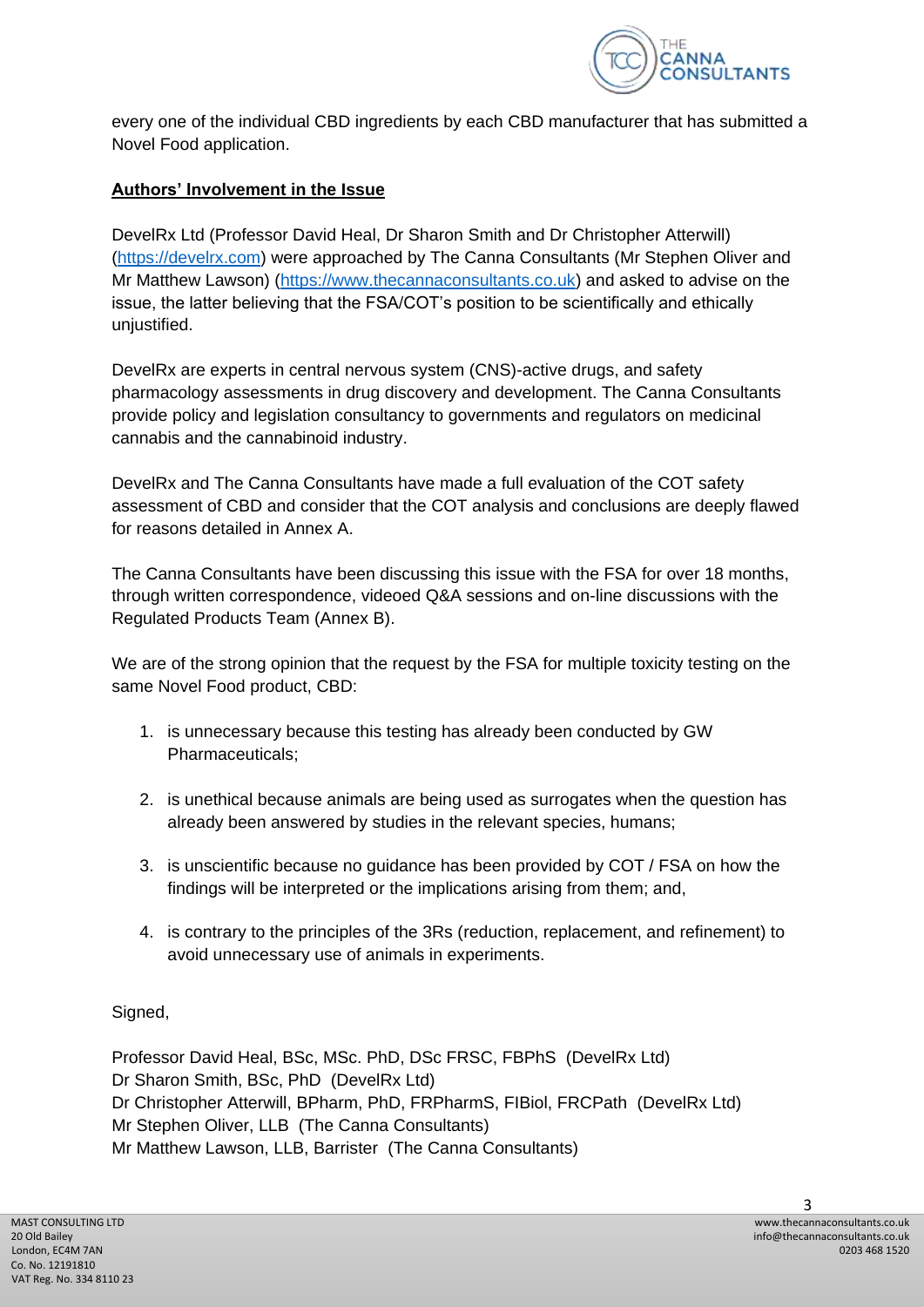

every one of the individual CBD ingredients by each CBD manufacturer that has submitted a Novel Food application.

## **Authors' Involvement in the Issue**

DevelRx Ltd (Professor David Heal, Dr Sharon Smith and Dr Christopher Atterwill) [\(https://develrx.com\)](https://develrx.com/) were approached by The Canna Consultants (Mr Stephen Oliver and Mr Matthew Lawson) [\(https://www.thecannaconsultants.co.uk\)](https://www.thecannaconsultants.co.uk/) and asked to advise on the issue, the latter believing that the FSA/COT's position to be scientifically and ethically unjustified.

DevelRx are experts in central nervous system (CNS)-active drugs, and safety pharmacology assessments in drug discovery and development. The Canna Consultants provide policy and legislation consultancy to governments and regulators on medicinal cannabis and the cannabinoid industry.

DevelRx and The Canna Consultants have made a full evaluation of the COT safety assessment of CBD and consider that the COT analysis and conclusions are deeply flawed for reasons detailed in Annex A.

The Canna Consultants have been discussing this issue with the FSA for over 18 months, through written correspondence, videoed Q&A sessions and on-line discussions with the Regulated Products Team (Annex B).

We are of the strong opinion that the request by the FSA for multiple toxicity testing on the same Novel Food product, CBD:

- 1. is unnecessary because this testing has already been conducted by GW Pharmaceuticals;
- 2. is unethical because animals are being used as surrogates when the question has already been answered by studies in the relevant species, humans;
- 3. is unscientific because no guidance has been provided by COT / FSA on how the findings will be interpreted or the implications arising from them; and,
- 4. is contrary to the principles of the 3Rs (reduction, replacement, and refinement) to avoid unnecessary use of animals in experiments.

### Signed,

Professor David Heal, BSc, MSc. PhD, DSc FRSC, FBPhS (DevelRx Ltd) Dr Sharon Smith, BSc, PhD (DevelRx Ltd) Dr Christopher Atterwill, BPharm, PhD, FRPharmS, FIBiol, FRCPath (DevelRx Ltd) Mr Stephen Oliver, LLB (The Canna Consultants) Mr Matthew Lawson, LLB, Barrister (The Canna Consultants)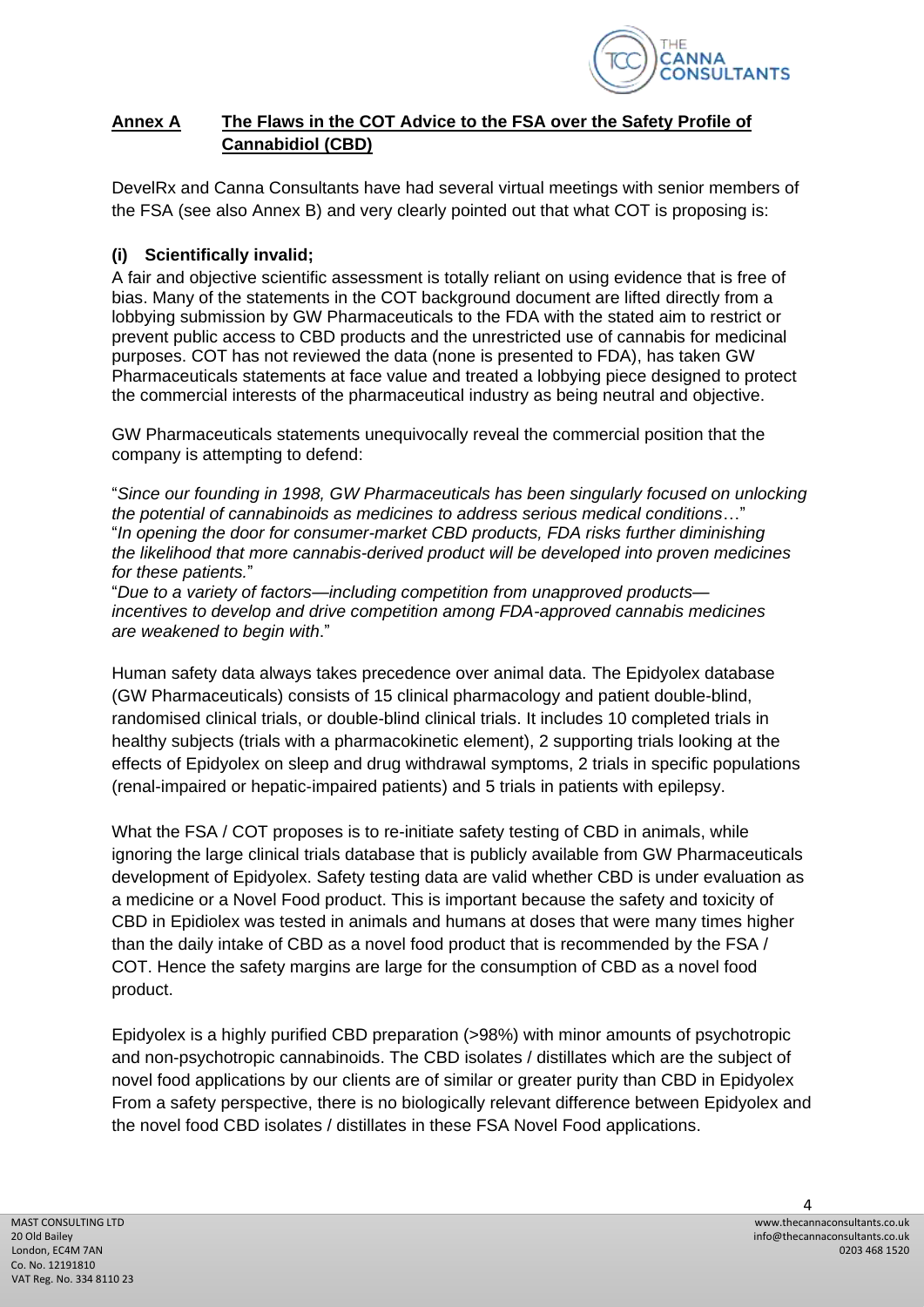

### **Annex A The Flaws in the COT Advice to the FSA over the Safety Profile of Cannabidiol (CBD)**

DevelRx and Canna Consultants have had several virtual meetings with senior members of the FSA (see also Annex B) and very clearly pointed out that what COT is proposing is:

## **(i) Scientifically invalid;**

A fair and objective scientific assessment is totally reliant on using evidence that is free of bias. Many of the statements in the COT background document are lifted directly from a lobbying submission by GW Pharmaceuticals to the FDA with the stated aim to restrict or prevent public access to CBD products and the unrestricted use of cannabis for medicinal purposes. COT has not reviewed the data (none is presented to FDA), has taken GW Pharmaceuticals statements at face value and treated a lobbying piece designed to protect the commercial interests of the pharmaceutical industry as being neutral and objective.

GW Pharmaceuticals statements unequivocally reveal the commercial position that the company is attempting to defend:

"*Since our founding in 1998, GW Pharmaceuticals has been singularly focused on unlocking the potential of cannabinoids as medicines to address serious medical conditions*…" "*In opening the door for consumer-market CBD products, FDA risks further diminishing the likelihood that more cannabis-derived product will be developed into proven medicines for these patients.*"

"*Due to a variety of factors—including competition from unapproved products incentives to develop and drive competition among FDA-approved cannabis medicines are weakened to begin with*."

Human safety data always takes precedence over animal data. The Epidyolex database (GW Pharmaceuticals) consists of 15 clinical pharmacology and patient double-blind, randomised clinical trials, or double-blind clinical trials. It includes 10 completed trials in healthy subjects (trials with a pharmacokinetic element), 2 supporting trials looking at the effects of Epidyolex on sleep and drug withdrawal symptoms, 2 trials in specific populations (renal-impaired or hepatic-impaired patients) and 5 trials in patients with epilepsy.

What the FSA / COT proposes is to re-initiate safety testing of CBD in animals, while ignoring the large clinical trials database that is publicly available from GW Pharmaceuticals development of Epidyolex. Safety testing data are valid whether CBD is under evaluation as a medicine or a Novel Food product. This is important because the safety and toxicity of CBD in Epidiolex was tested in animals and humans at doses that were many times higher than the daily intake of CBD as a novel food product that is recommended by the FSA / COT. Hence the safety margins are large for the consumption of CBD as a novel food product.

Epidyolex is a highly purified CBD preparation (>98%) with minor amounts of psychotropic and non-psychotropic cannabinoids. The CBD isolates / distillates which are the subject of novel food applications by our clients are of similar or greater purity than CBD in Epidyolex From a safety perspective, there is no biologically relevant difference between Epidyolex and the novel food CBD isolates / distillates in these FSA Novel Food applications.

 $\Lambda$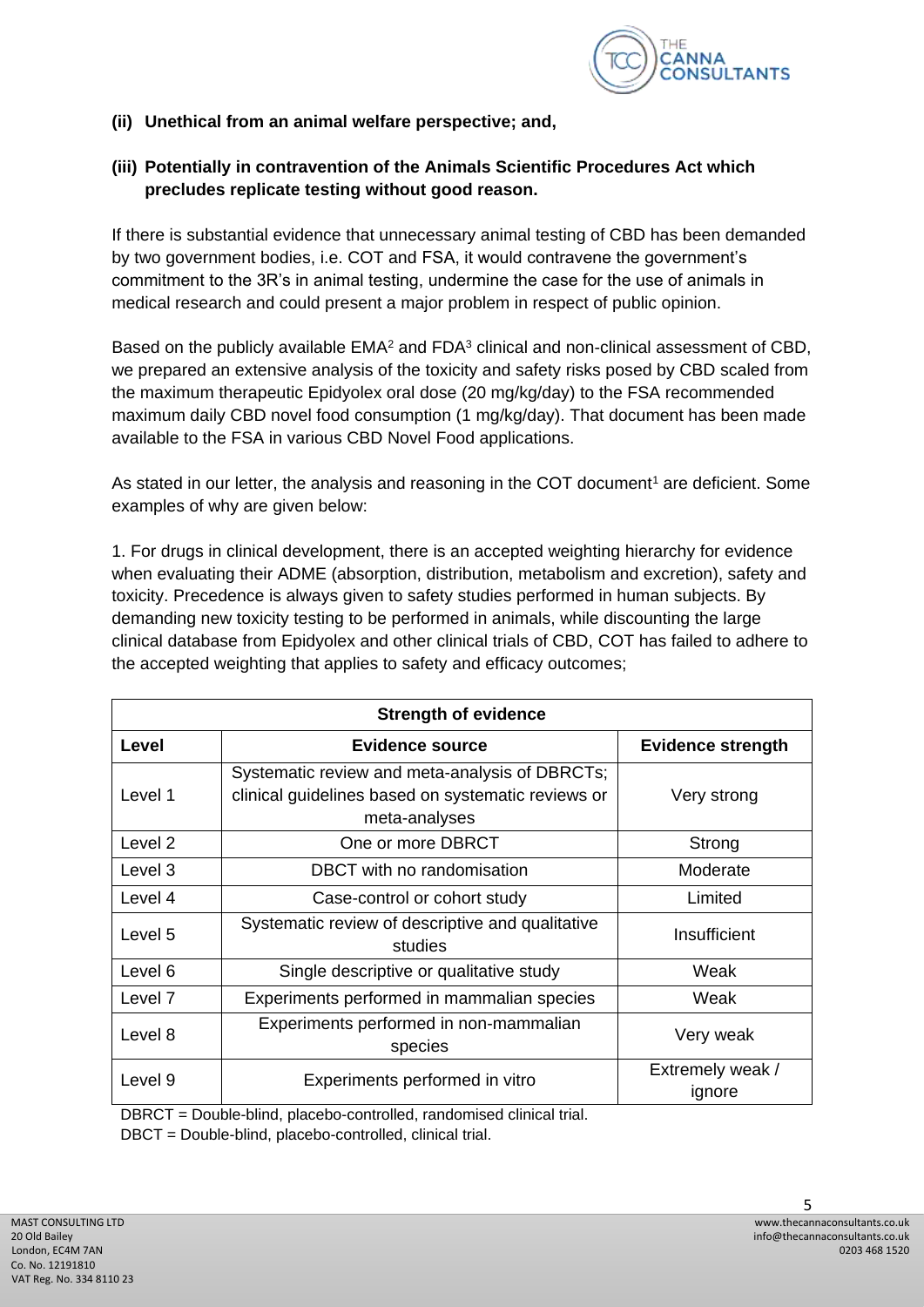

**(ii) Unethical from an animal welfare perspective; and,**

### **(iii) Potentially in contravention of the Animals Scientific Procedures Act which precludes replicate testing without good reason.**

If there is substantial evidence that unnecessary animal testing of CBD has been demanded by two government bodies, i.e. COT and FSA, it would contravene the government's commitment to the 3R's in animal testing, undermine the case for the use of animals in medical research and could present a major problem in respect of public opinion.

Based on the publicly available  $EMA<sup>2</sup>$  and  $FDA<sup>3</sup>$  clinical and non-clinical assessment of CBD, we prepared an extensive analysis of the toxicity and safety risks posed by CBD scaled from the maximum therapeutic Epidyolex oral dose (20 mg/kg/day) to the FSA recommended maximum daily CBD novel food consumption (1 mg/kg/day). That document has been made available to the FSA in various CBD Novel Food applications.

As stated in our letter, the analysis and reasoning in the COT document<sup>1</sup> are deficient. Some examples of why are given below:

1. For drugs in clinical development, there is an accepted weighting hierarchy for evidence when evaluating their ADME (absorption, distribution, metabolism and excretion), safety and toxicity. Precedence is always given to safety studies performed in human subjects. By demanding new toxicity testing to be performed in animals, while discounting the large clinical database from Epidyolex and other clinical trials of CBD, COT has failed to adhere to the accepted weighting that applies to safety and efficacy outcomes;

| <b>Strength of evidence</b> |                                                                                                                       |                            |
|-----------------------------|-----------------------------------------------------------------------------------------------------------------------|----------------------------|
| Level                       | Evidence source                                                                                                       | <b>Evidence strength</b>   |
| Level 1                     | Systematic review and meta-analysis of DBRCTs;<br>clinical guidelines based on systematic reviews or<br>meta-analyses | Very strong                |
| Level 2                     | One or more DBRCT                                                                                                     | Strong                     |
| Level 3                     | DBCT with no randomisation                                                                                            | Moderate                   |
| Level 4                     | Case-control or cohort study                                                                                          | Limited                    |
| Level 5                     | Systematic review of descriptive and qualitative<br>studies                                                           | Insufficient               |
| Level 6                     | Single descriptive or qualitative study                                                                               | Weak                       |
| Level 7                     | Experiments performed in mammalian species                                                                            | Weak                       |
| Level 8                     | Experiments performed in non-mammalian<br>species                                                                     | Very weak                  |
| Level 9                     | Experiments performed in vitro                                                                                        | Extremely weak /<br>ignore |

DBRCT = Double-blind, placebo-controlled, randomised clinical trial.

DBCT = Double-blind, placebo-controlled, clinical trial.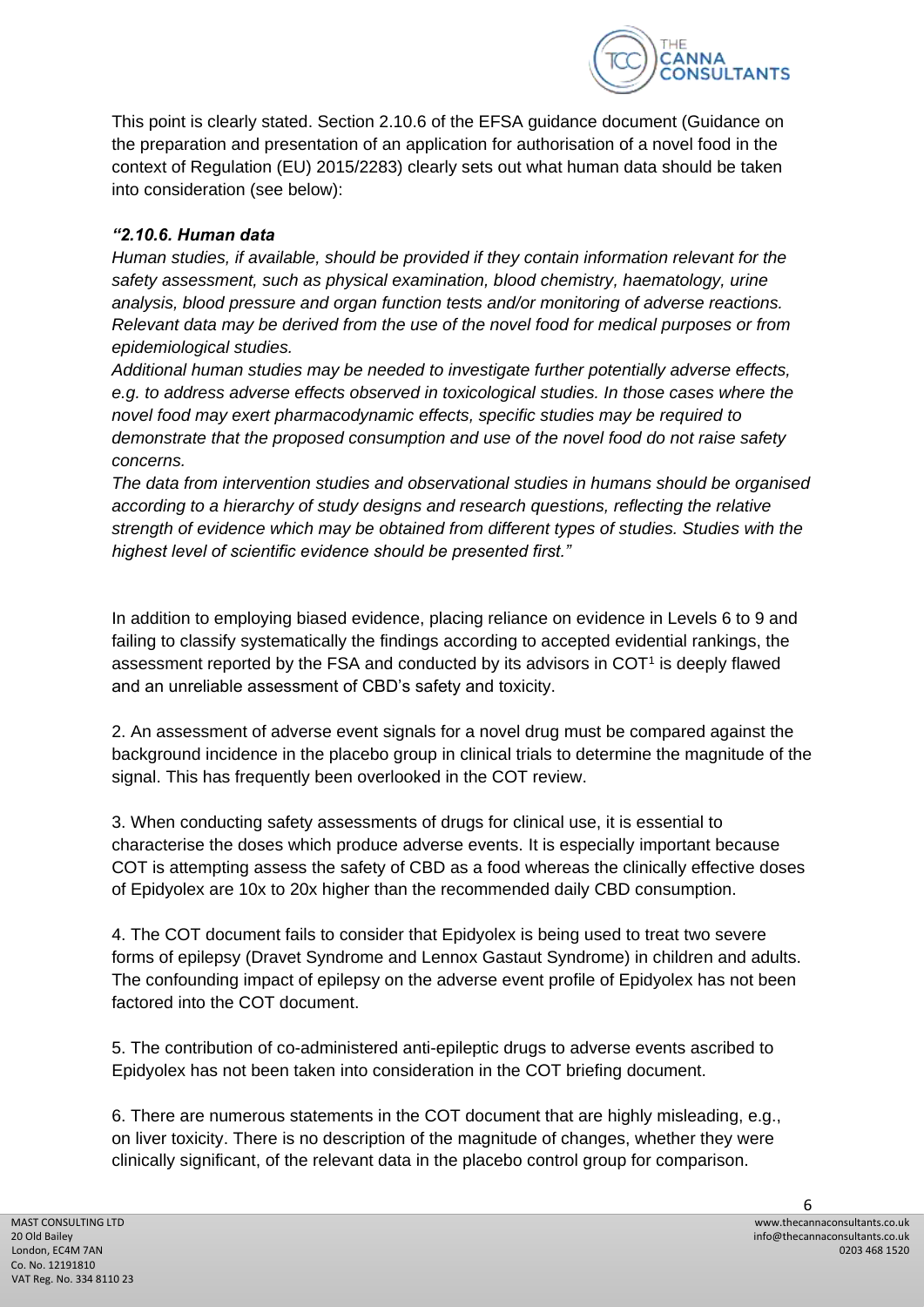

This point is clearly stated. Section 2.10.6 of the EFSA guidance document (Guidance on the preparation and presentation of an application for authorisation of a novel food in the context of Regulation (EU) 2015/2283) clearly sets out what human data should be taken into consideration (see below):

### *"2.10.6. Human data*

*Human studies, if available, should be provided if they contain information relevant for the safety assessment, such as physical examination, blood chemistry, haematology, urine analysis, blood pressure and organ function tests and/or monitoring of adverse reactions. Relevant data may be derived from the use of the novel food for medical purposes or from epidemiological studies.*

*Additional human studies may be needed to investigate further potentially adverse effects, e.g. to address adverse effects observed in toxicological studies. In those cases where the novel food may exert pharmacodynamic effects, specific studies may be required to demonstrate that the proposed consumption and use of the novel food do not raise safety concerns.*

*The data from intervention studies and observational studies in humans should be organised according to a hierarchy of study designs and research questions, reflecting the relative strength of evidence which may be obtained from different types of studies. Studies with the highest level of scientific evidence should be presented first."*

In addition to employing biased evidence, placing reliance on evidence in Levels 6 to 9 and failing to classify systematically the findings according to accepted evidential rankings, the assessment reported by the FSA and conducted by its advisors in  $COT<sup>1</sup>$  is deeply flawed and an unreliable assessment of CBD's safety and toxicity.

2. An assessment of adverse event signals for a novel drug must be compared against the background incidence in the placebo group in clinical trials to determine the magnitude of the signal. This has frequently been overlooked in the COT review.

3. When conducting safety assessments of drugs for clinical use, it is essential to characterise the doses which produce adverse events. It is especially important because COT is attempting assess the safety of CBD as a food whereas the clinically effective doses of Epidyolex are 10x to 20x higher than the recommended daily CBD consumption.

4. The COT document fails to consider that Epidyolex is being used to treat two severe forms of epilepsy (Dravet Syndrome and Lennox Gastaut Syndrome) in children and adults. The confounding impact of epilepsy on the adverse event profile of Epidyolex has not been factored into the COT document.

5. The contribution of co-administered anti-epileptic drugs to adverse events ascribed to Epidyolex has not been taken into consideration in the COT briefing document.

6. There are numerous statements in the COT document that are highly misleading, e.g., on liver toxicity. There is no description of the magnitude of changes, whether they were clinically significant, of the relevant data in the placebo control group for comparison.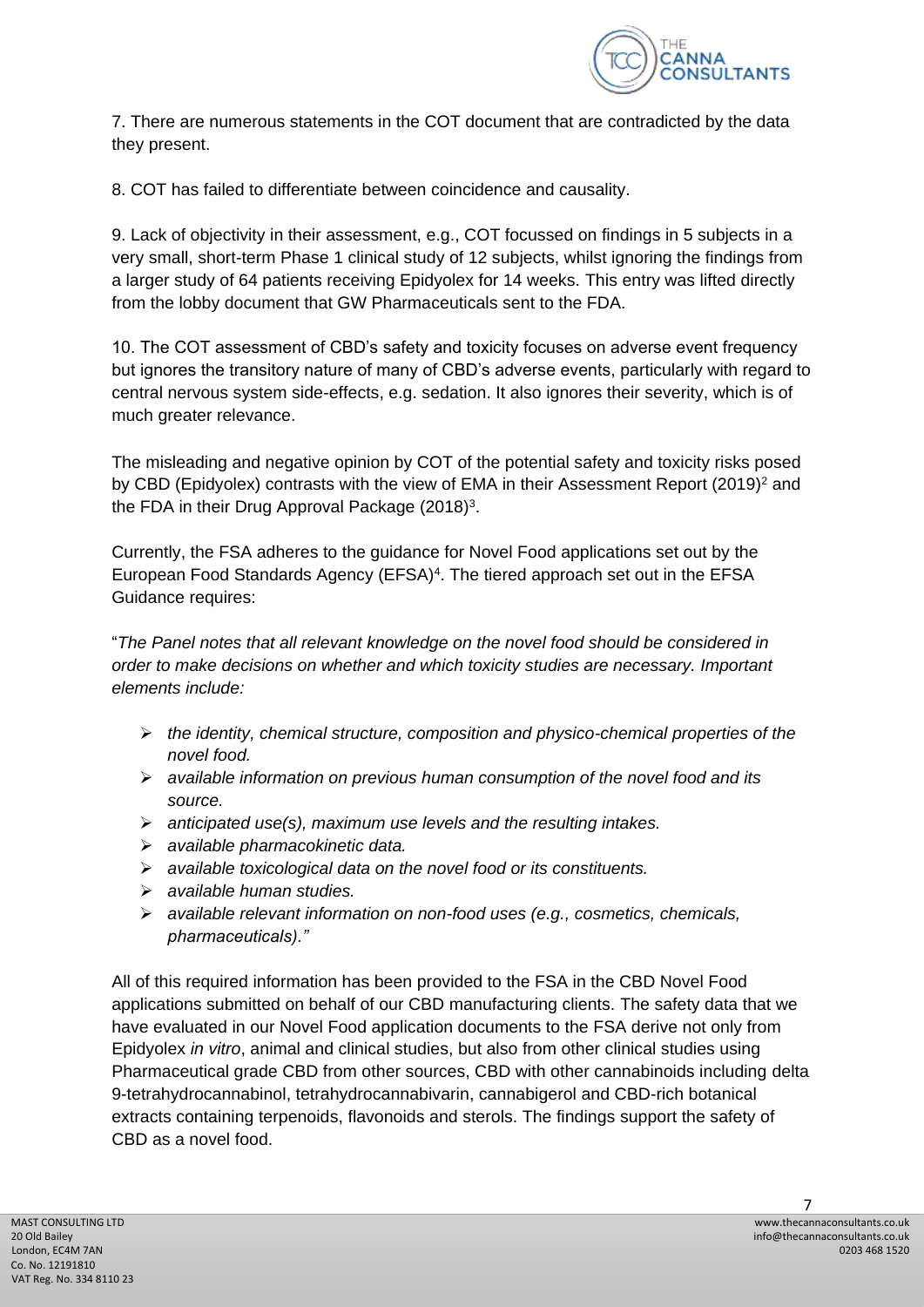

7. There are numerous statements in the COT document that are contradicted by the data they present.

8. COT has failed to differentiate between coincidence and causality.

9. Lack of objectivity in their assessment, e.g., COT focussed on findings in 5 subjects in a very small, short-term Phase 1 clinical study of 12 subjects, whilst ignoring the findings from a larger study of 64 patients receiving Epidyolex for 14 weeks. This entry was lifted directly from the lobby document that GW Pharmaceuticals sent to the FDA.

10. The COT assessment of CBD's safety and toxicity focuses on adverse event frequency but ignores the transitory nature of many of CBD's adverse events, particularly with regard to central nervous system side-effects, e.g. sedation. It also ignores their severity, which is of much greater relevance.

The misleading and negative opinion by COT of the potential safety and toxicity risks posed by CBD (Epidyolex) contrasts with the view of EMA in their Assessment Report (2019)<sup>2</sup> and the FDA in their Drug Approval Package  $(2018)^3$ .

Currently, the FSA adheres to the guidance for Novel Food applications set out by the European Food Standards Agency (EFSA)<sup>4</sup>. The tiered approach set out in the EFSA Guidance requires:

"*The Panel notes that all relevant knowledge on the novel food should be considered in order to make decisions on whether and which toxicity studies are necessary. Important elements include:*

- ➢ *the identity, chemical structure, composition and physico-chemical properties of the novel food.*
- ➢ *available information on previous human consumption of the novel food and its source.*
- ➢ *anticipated use(s), maximum use levels and the resulting intakes.*
- ➢ *available pharmacokinetic data.*
- ➢ *available toxicological data on the novel food or its constituents.*
- ➢ *available human studies.*
- ➢ *available relevant information on non-food uses (e.g., cosmetics, chemicals, pharmaceuticals)."*

All of this required information has been provided to the FSA in the CBD Novel Food applications submitted on behalf of our CBD manufacturing clients. The safety data that we have evaluated in our Novel Food application documents to the FSA derive not only from Epidyolex *in vitro*, animal and clinical studies, but also from other clinical studies using Pharmaceutical grade CBD from other sources, CBD with other cannabinoids including delta 9-tetrahydrocannabinol, tetrahydrocannabivarin, cannabigerol and CBD-rich botanical extracts containing terpenoids, flavonoids and sterols. The findings support the safety of CBD as a novel food.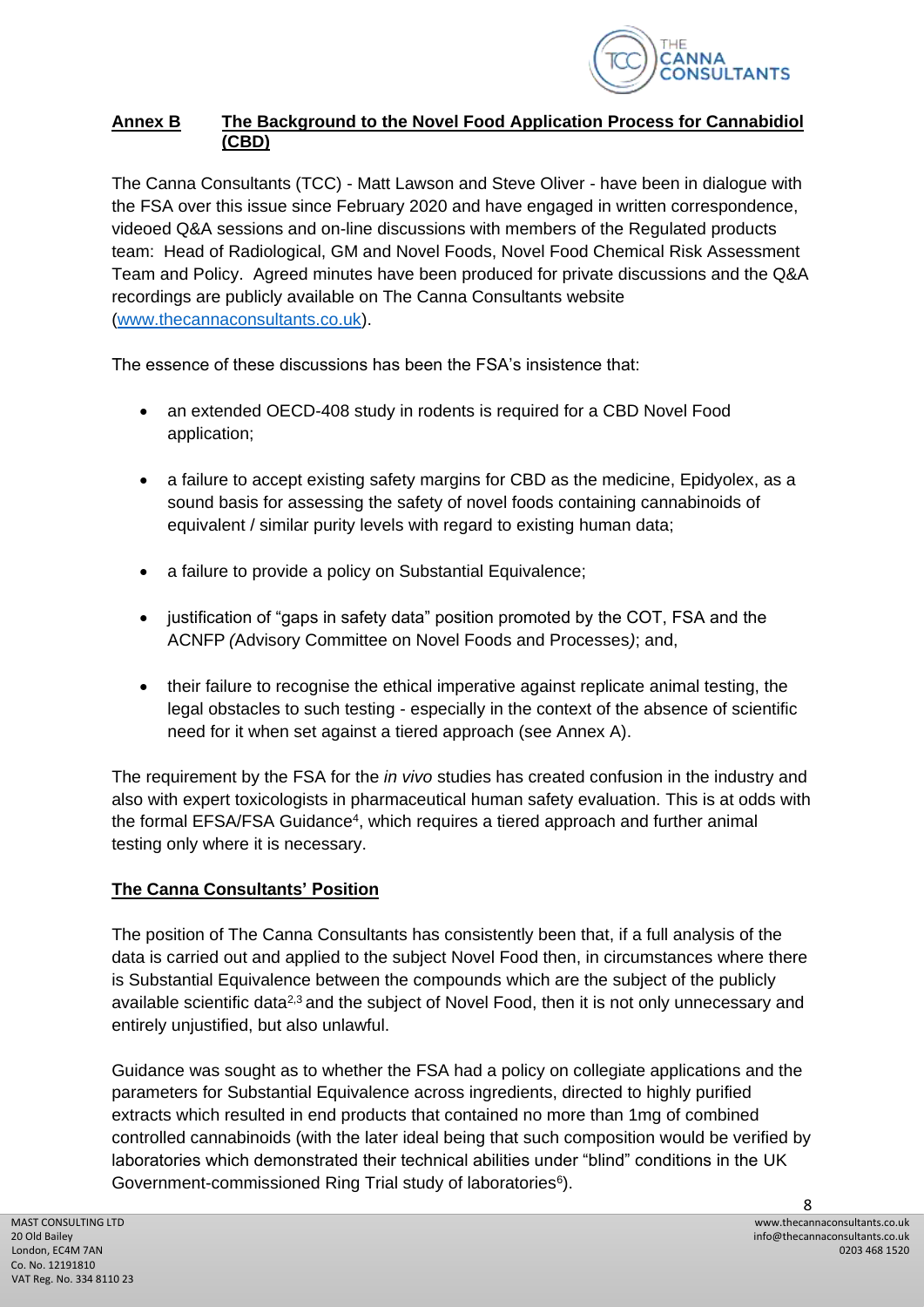

## **Annex B The Background to the Novel Food Application Process for Cannabidiol (CBD)**

The Canna Consultants (TCC) - Matt Lawson and Steve Oliver - have been in dialogue with the FSA over this issue since February 2020 and have engaged in written correspondence, videoed Q&A sessions and on-line discussions with members of the Regulated products team: Head of Radiological, GM and Novel Foods, Novel Food Chemical Risk Assessment Team and Policy. Agreed minutes have been produced for private discussions and the Q&A recordings are publicly available on The Canna Consultants website [\(www.thecannaconsultants.co.uk\)](http://www.thecannaconsultants.co.uk/).

The essence of these discussions has been the FSA's insistence that:

- an extended OECD-408 study in rodents is required for a CBD Novel Food application;
- a failure to accept existing safety margins for CBD as the medicine, Epidyolex, as a sound basis for assessing the safety of novel foods containing cannabinoids of equivalent / similar purity levels with regard to existing human data;
- a failure to provide a policy on Substantial Equivalence;
- justification of "gaps in safety data" position promoted by the COT, FSA and the ACNFP *(*Advisory Committee on Novel Foods and Processes*)*; and,
- their failure to recognise the ethical imperative against replicate animal testing, the legal obstacles to such testing - especially in the context of the absence of scientific need for it when set against a tiered approach (see Annex A).

The requirement by the FSA for the *in vivo* studies has created confusion in the industry and also with expert toxicologists in pharmaceutical human safety evaluation. This is at odds with the formal EFSA/FSA Guidance<sup>4</sup>, which requires a tiered approach and further animal testing only where it is necessary.

# **The Canna Consultants' Position**

The position of The Canna Consultants has consistently been that, if a full analysis of the data is carried out and applied to the subject Novel Food then, in circumstances where there is Substantial Equivalence between the compounds which are the subject of the publicly available scientific data<sup>2,3</sup> and the subject of Novel Food, then it is not only unnecessary and entirely unjustified, but also unlawful.

Guidance was sought as to whether the FSA had a policy on collegiate applications and the parameters for Substantial Equivalence across ingredients, directed to highly purified extracts which resulted in end products that contained no more than 1mg of combined controlled cannabinoids (with the later ideal being that such composition would be verified by laboratories which demonstrated their technical abilities under "blind" conditions in the UK Government-commissioned Ring Trial study of laboratories<sup>6</sup>).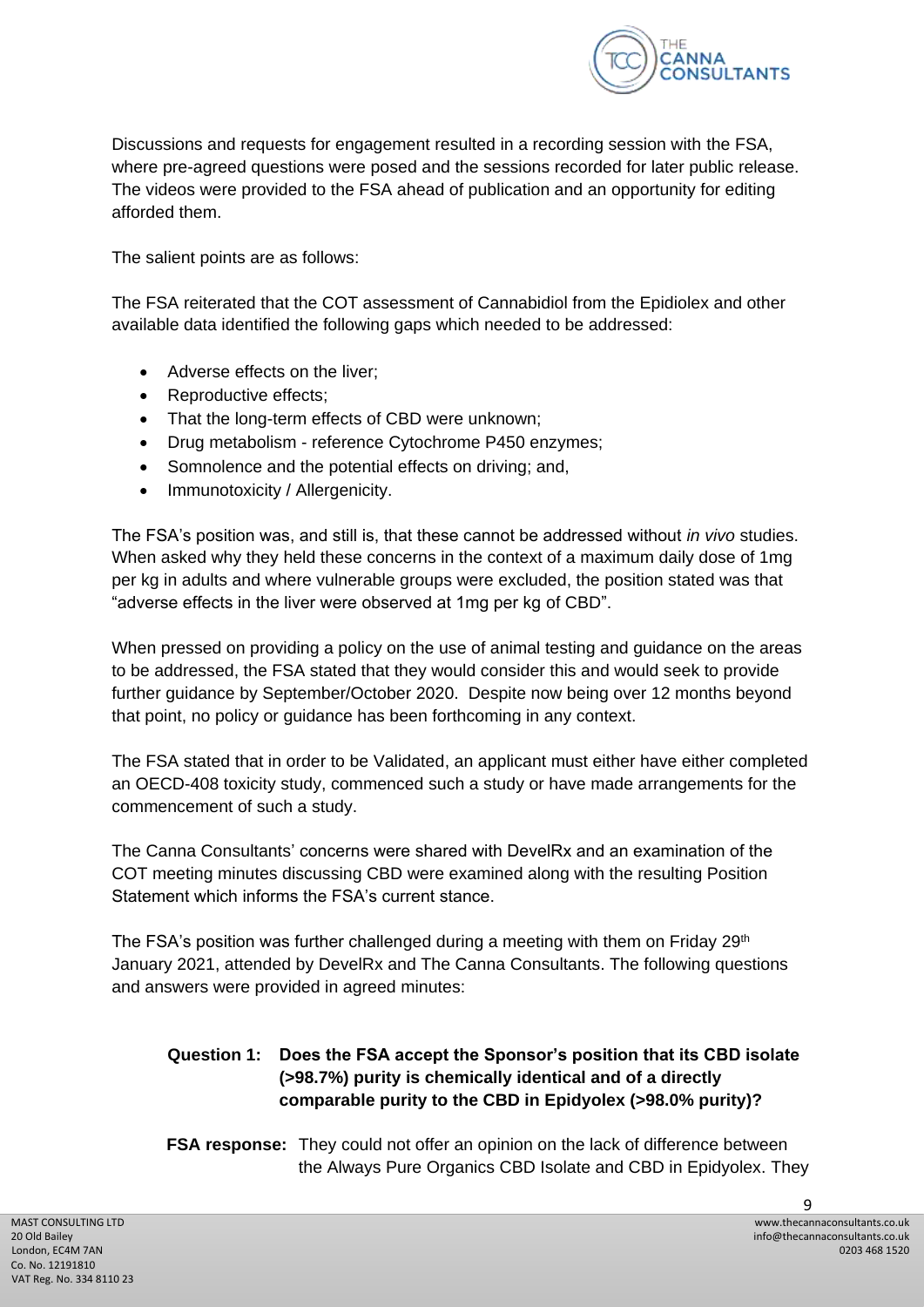

Discussions and requests for engagement resulted in a recording session with the FSA, where pre-agreed questions were posed and the sessions recorded for later public release. The videos were provided to the FSA ahead of publication and an opportunity for editing afforded them.

The salient points are as follows:

The FSA reiterated that the COT assessment of Cannabidiol from the Epidiolex and other available data identified the following gaps which needed to be addressed:

- Adverse effects on the liver;
- Reproductive effects;
- That the long-term effects of CBD were unknown;
- Drug metabolism reference Cytochrome P450 enzymes;
- Somnolence and the potential effects on driving; and,
- Immunotoxicity / Allergenicity.

The FSA's position was, and still is, that these cannot be addressed without *in vivo* studies. When asked why they held these concerns in the context of a maximum daily dose of 1mg per kg in adults and where vulnerable groups were excluded, the position stated was that "adverse effects in the liver were observed at 1mg per kg of CBD".

When pressed on providing a policy on the use of animal testing and guidance on the areas to be addressed, the FSA stated that they would consider this and would seek to provide further guidance by September/October 2020. Despite now being over 12 months beyond that point, no policy or guidance has been forthcoming in any context.

The FSA stated that in order to be Validated, an applicant must either have either completed an OECD-408 toxicity study, commenced such a study or have made arrangements for the commencement of such a study.

The Canna Consultants' concerns were shared with DevelRx and an examination of the COT meeting minutes discussing CBD were examined along with the resulting Position Statement which informs the FSA's current stance.

The FSA's position was further challenged during a meeting with them on Friday 29<sup>th</sup> January 2021, attended by DevelRx and The Canna Consultants. The following questions and answers were provided in agreed minutes:

## **Question 1: Does the FSA accept the Sponsor's position that its CBD isolate (>98.7%) purity is chemically identical and of a directly comparable purity to the CBD in Epidyolex (>98.0% purity)?**

**FSA response:** They could not offer an opinion on the lack of difference between the Always Pure Organics CBD Isolate and CBD in Epidyolex. They

 $\Omega$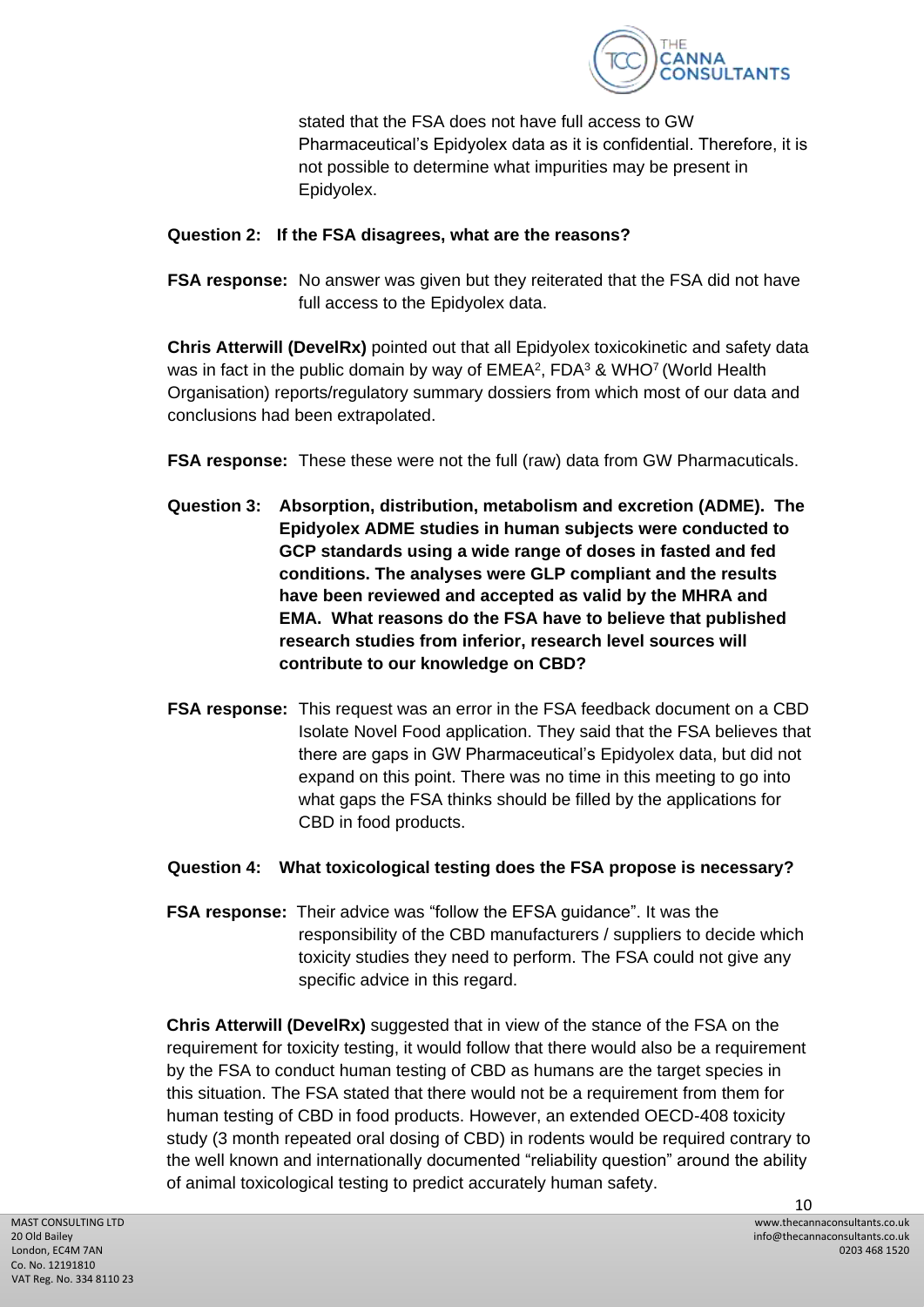

stated that the FSA does not have full access to GW Pharmaceutical's Epidyolex data as it is confidential. Therefore, it is not possible to determine what impurities may be present in Epidyolex.

#### **Question 2: If the FSA disagrees, what are the reasons?**

**FSA response:** No answer was given but they reiterated that the FSA did not have full access to the Epidyolex data.

**Chris Atterwill (DevelRx)** pointed out that all Epidyolex toxicokinetic and safety data was in fact in the public domain by way of  $EMEA^2$ ,  $FDA^3$  & WHO<sup>7</sup> (World Health Organisation) reports/regulatory summary dossiers from which most of our data and conclusions had been extrapolated.

- **FSA response:** These these were not the full (raw) data from GW Pharmacuticals.
- **Question 3: Absorption, distribution, metabolism and excretion (ADME). The Epidyolex ADME studies in human subjects were conducted to GCP standards using a wide range of doses in fasted and fed conditions. The analyses were GLP compliant and the results have been reviewed and accepted as valid by the MHRA and EMA.****What reasons do the FSA have to believe that published research studies from inferior, research level sources will contribute to our knowledge on CBD?**
- **FSA response:** This request was an error in the FSA feedback document on a CBD Isolate Novel Food application. They said that the FSA believes that there are gaps in GW Pharmaceutical's Epidyolex data, but did not expand on this point. There was no time in this meeting to go into what gaps the FSA thinks should be filled by the applications for CBD in food products.

#### **Question 4: What toxicological testing does the FSA propose is necessary?**

**FSA response:** Their advice was "follow the EFSA guidance". It was the responsibility of the CBD manufacturers / suppliers to decide which toxicity studies they need to perform. The FSA could not give any specific advice in this regard.

**Chris Atterwill (DevelRx)** suggested that in view of the stance of the FSA on the requirement for toxicity testing, it would follow that there would also be a requirement by the FSA to conduct human testing of CBD as humans are the target species in this situation. The FSA stated that there would not be a requirement from them for human testing of CBD in food products. However, an extended OECD-408 toxicity study (3 month repeated oral dosing of CBD) in rodents would be required contrary to the well known and internationally documented "reliability question" around the ability of animal toxicological testing to predict accurately human safety.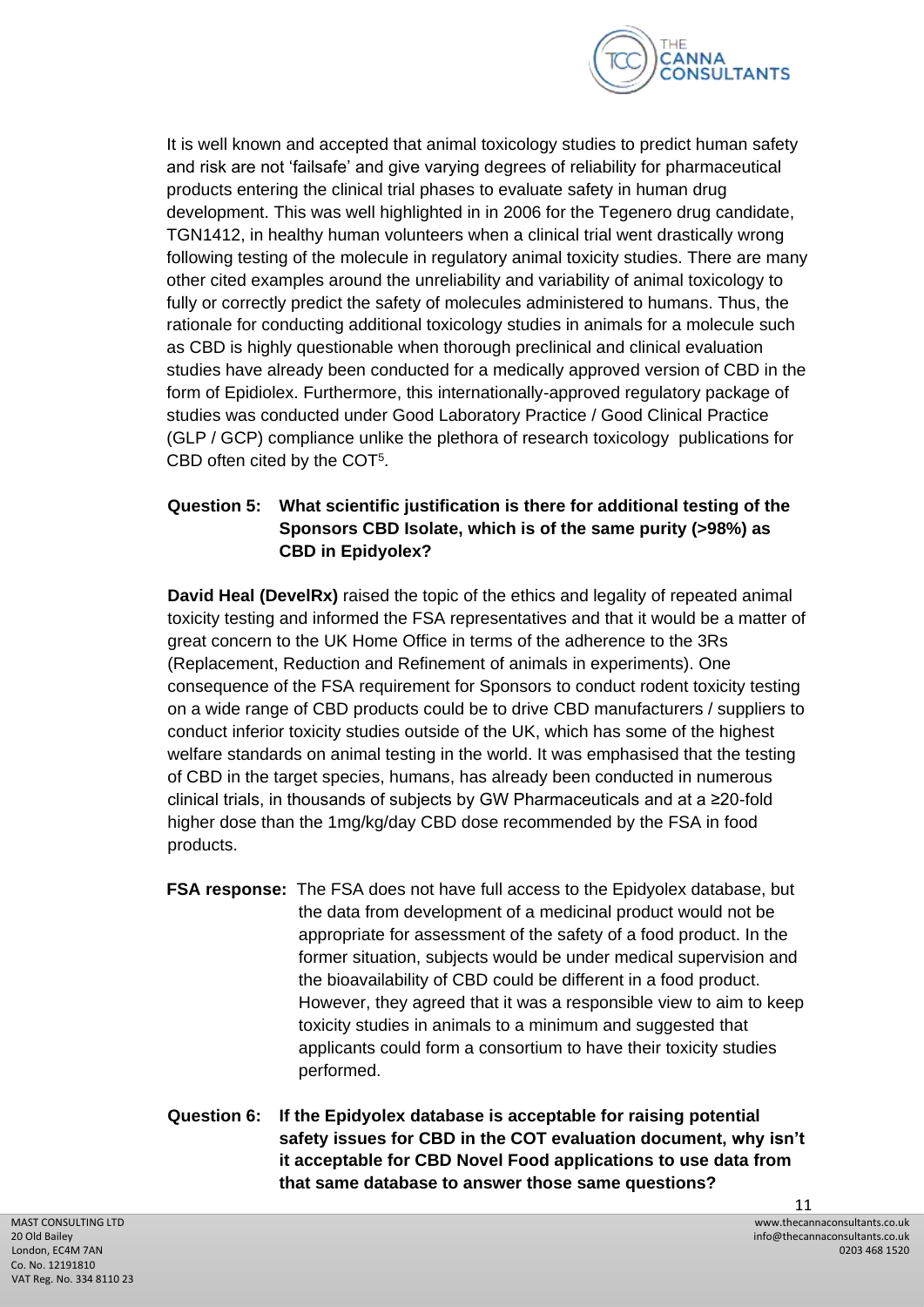

It is well known and accepted that animal toxicology studies to predict human safety and risk are not 'failsafe' and give varying degrees of reliability for pharmaceutical products entering the clinical trial phases to evaluate safety in human drug development. This was well highlighted in in 2006 for the Tegenero drug candidate, TGN1412, in healthy human volunteers when a clinical trial went drastically wrong following testing of the molecule in regulatory animal toxicity studies. There are many other cited examples around the unreliability and variability of animal toxicology to fully or correctly predict the safety of molecules administered to humans. Thus, the rationale for conducting additional toxicology studies in animals for a molecule such as CBD is highly questionable when thorough preclinical and clinical evaluation studies have already been conducted for a medically approved version of CBD in the form of Epidiolex. Furthermore, this internationally-approved regulatory package of studies was conducted under Good Laboratory Practice / Good Clinical Practice (GLP / GCP) compliance unlike the plethora of research toxicology publications for CBD often cited by the COT<sup>5</sup> .

## **Question 5: What scientific justification is there for additional testing of the Sponsors CBD Isolate, which is of the same purity (>98%) as CBD in Epidyolex?**

**David Heal (DevelRx)** raised the topic of the ethics and legality of repeated animal toxicity testing and informed the FSA representatives and that it would be a matter of great concern to the UK Home Office in terms of the adherence to the 3Rs (Replacement, Reduction and Refinement of animals in experiments). One consequence of the FSA requirement for Sponsors to conduct rodent toxicity testing on a wide range of CBD products could be to drive CBD manufacturers / suppliers to conduct inferior toxicity studies outside of the UK, which has some of the highest welfare standards on animal testing in the world. It was emphasised that the testing of CBD in the target species, humans, has already been conducted in numerous clinical trials, in thousands of subjects by GW Pharmaceuticals and at a ≥20-fold higher dose than the 1mg/kg/day CBD dose recommended by the FSA in food products.

- **FSA response:** The FSA does not have full access to the Epidyolex database, but the data from development of a medicinal product would not be appropriate for assessment of the safety of a food product. In the former situation, subjects would be under medical supervision and the bioavailability of CBD could be different in a food product. However, they agreed that it was a responsible view to aim to keep toxicity studies in animals to a minimum and suggested that applicants could form a consortium to have their toxicity studies performed.
- **Question 6: If the Epidyolex database is acceptable for raising potential safety issues for CBD in the COT evaluation document, why isn't it acceptable for CBD Novel Food applications to use data from that same database to answer those same questions?**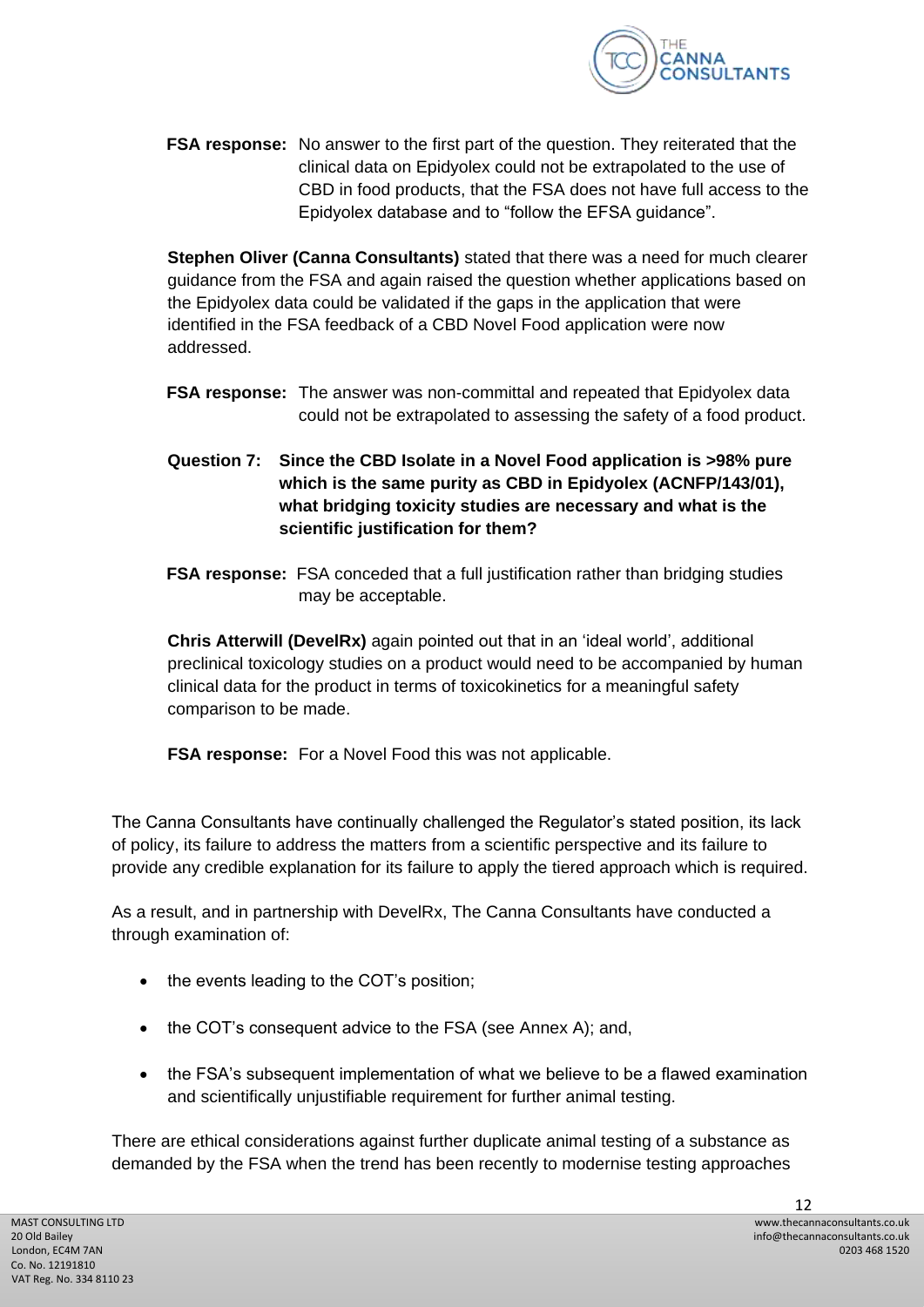

**FSA response:** No answer to the first part of the question. They reiterated that the clinical data on Epidyolex could not be extrapolated to the use of CBD in food products, that the FSA does not have full access to the Epidyolex database and to "follow the EFSA guidance".

**Stephen Oliver (Canna Consultants)** stated that there was a need for much clearer guidance from the FSA and again raised the question whether applications based on the Epidyolex data could be validated if the gaps in the application that were identified in the FSA feedback of a CBD Novel Food application were now addressed.

- **FSA response:** The answer was non-committal and repeated that Epidyolex data could not be extrapolated to assessing the safety of a food product.
- **Question 7: Since the CBD Isolate in a Novel Food application is >98% pure which is the same purity as CBD in Epidyolex (ACNFP/143/01), what bridging toxicity studies are necessary and what is the scientific justification for them?**
- **FSA response:** FSA conceded that a full justification rather than bridging studies may be acceptable.

**Chris Atterwill (DevelRx)** again pointed out that in an 'ideal world', additional preclinical toxicology studies on a product would need to be accompanied by human clinical data for the product in terms of toxicokinetics for a meaningful safety comparison to be made.

**FSA response:** For a Novel Food this was not applicable.

The Canna Consultants have continually challenged the Regulator's stated position, its lack of policy, its failure to address the matters from a scientific perspective and its failure to provide any credible explanation for its failure to apply the tiered approach which is required.

As a result, and in partnership with DevelRx, The Canna Consultants have conducted a through examination of:

- the events leading to the COT's position;
- the COT's consequent advice to the FSA (see Annex A); and,
- the FSA's subsequent implementation of what we believe to be a flawed examination and scientifically unjustifiable requirement for further animal testing.

There are ethical considerations against further duplicate animal testing of a substance as demanded by the FSA when the trend has been recently to modernise testing approaches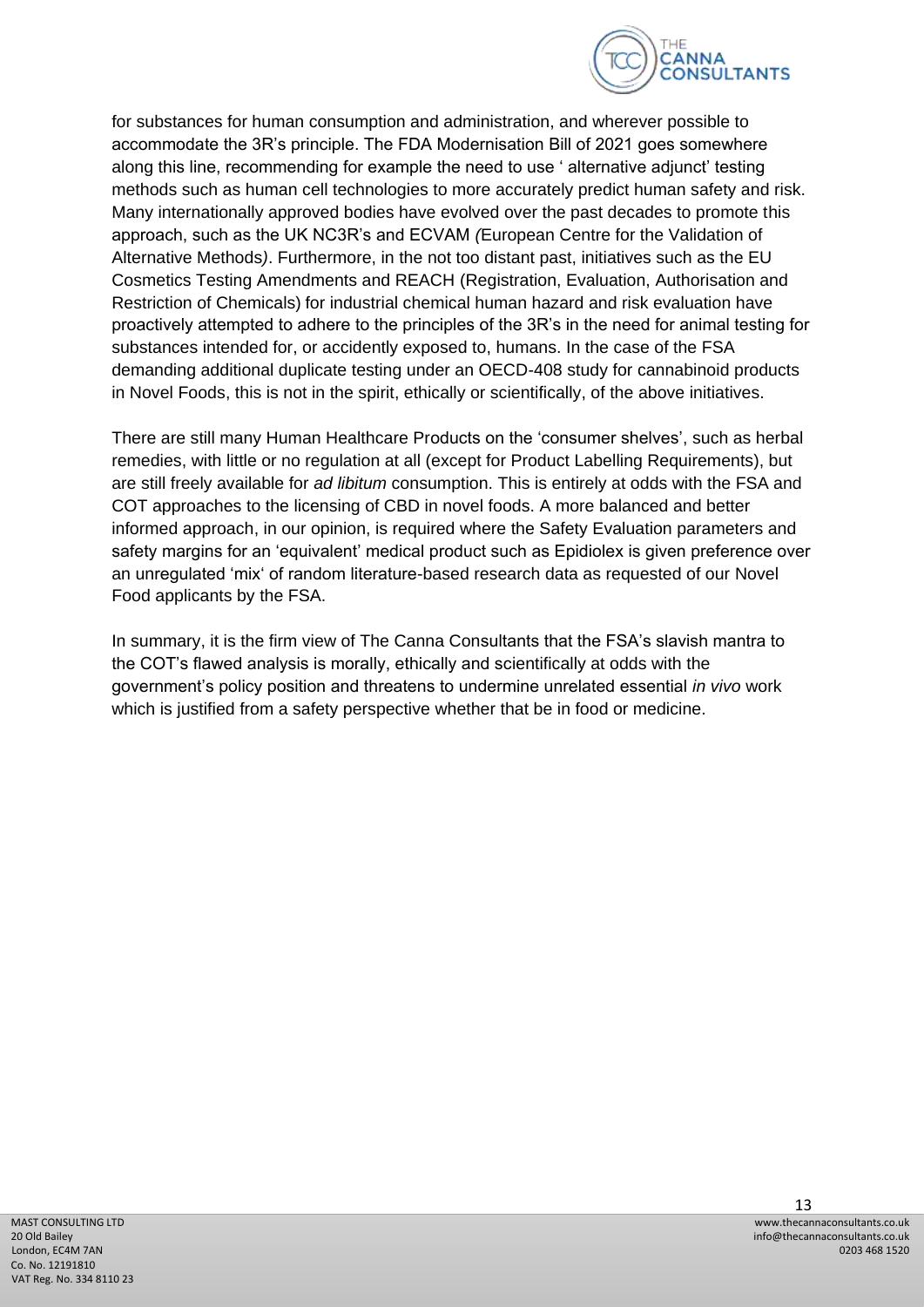

for substances for human consumption and administration, and wherever possible to accommodate the 3R's principle. The FDA Modernisation Bill of 2021 goes somewhere along this line, recommending for example the need to use ' alternative adjunct' testing methods such as human cell technologies to more accurately predict human safety and risk. Many internationally approved bodies have evolved over the past decades to promote this approach, such as the UK NC3R's and ECVAM *(*European Centre for the Validation of Alternative Methods*)*. Furthermore, in the not too distant past, initiatives such as the EU Cosmetics Testing Amendments and REACH (Registration, Evaluation, Authorisation and Restriction of Chemicals) for industrial chemical human hazard and risk evaluation have proactively attempted to adhere to the principles of the 3R's in the need for animal testing for substances intended for, or accidently exposed to, humans. In the case of the FSA demanding additional duplicate testing under an OECD-408 study for cannabinoid products in Novel Foods, this is not in the spirit, ethically or scientifically, of the above initiatives.

There are still many Human Healthcare Products on the 'consumer shelves', such as herbal remedies, with little or no regulation at all (except for Product Labelling Requirements), but are still freely available for *ad libitum* consumption. This is entirely at odds with the FSA and COT approaches to the licensing of CBD in novel foods. A more balanced and better informed approach, in our opinion, is required where the Safety Evaluation parameters and safety margins for an 'equivalent' medical product such as Epidiolex is given preference over an unregulated 'mix' of random literature-based research data as requested of our Novel Food applicants by the FSA.

In summary, it is the firm view of The Canna Consultants that the FSA's slavish mantra to the COT's flawed analysis is morally, ethically and scientifically at odds with the government's policy position and threatens to undermine unrelated essential *in vivo* work which is justified from a safety perspective whether that be in food or medicine.